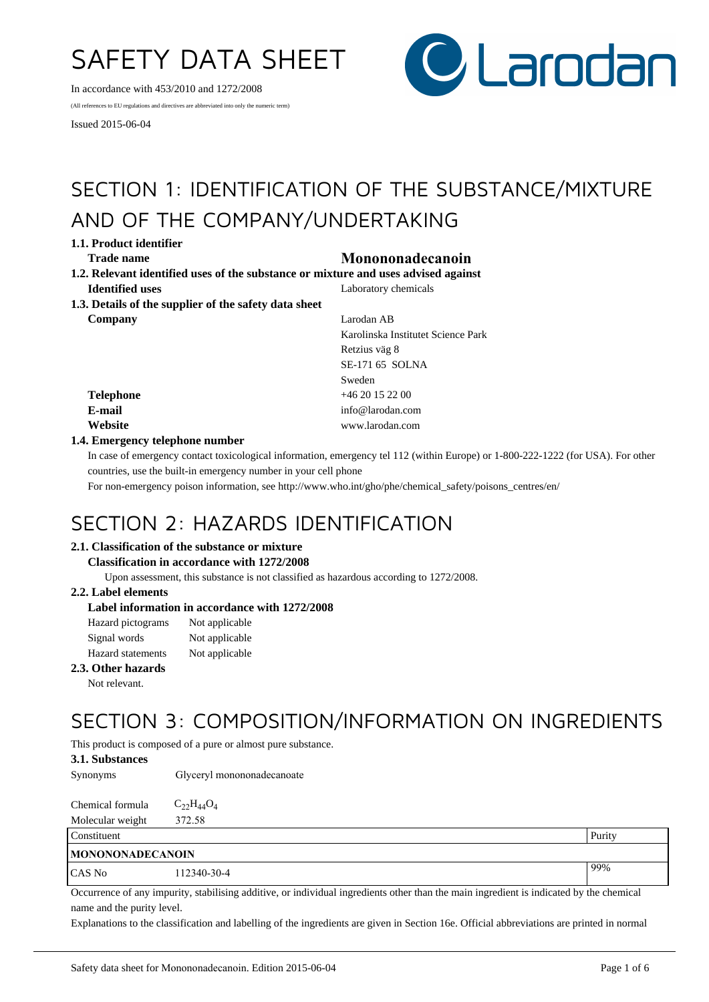# SAFETY DATA SHEET

In accordance with 453/2010 and 1272/2008

(All references to EU regulations and directives are abbreviated into only the numeric term)

Issued 2015-06-04



## SECTION 1: IDENTIFICATION OF THE SUBSTANCE/MIXTURE AND OF THE COMPANY/UNDERTAKING

**1.1. Product identifier**

## **Trade name Monononadecanoin**

- **1.2. Relevant identified uses of the substance or mixture and uses advised against Identified uses** Laboratory chemicals
- **1.3. Details of the supplier of the safety data sheet Company** Larodan AB

## Karolinska Institutet Science Park Retzius väg 8 SE-171 65 SOLNA Sweden **Telephone** +46 20 15 22 00 **E-mail** info@larodan.com **Website** www.larodan.com

## **1.4. Emergency telephone number**

In case of emergency contact toxicological information, emergency tel 112 (within Europe) or 1-800-222-1222 (for USA). For other countries, use the built-in emergency number in your cell phone

For non-emergency poison information, see http://www.who.int/gho/phe/chemical\_safety/poisons\_centres/en/

## SECTION 2: HAZARDS IDENTIFICATION

## **2.1. Classification of the substance or mixture**

## **Classification in accordance with 1272/2008**

Upon assessment, this substance is not classified as hazardous according to 1272/2008.

## **2.2. Label elements**

## **Label information in accordance with 1272/2008**

| Hazard pictograms        | Not applicable |
|--------------------------|----------------|
| Signal words             | Not applicable |
| <b>Hazard</b> statements | Not applicable |

### **2.3. Other hazards**

Not relevant.

## SECTION 3: COMPOSITION/INFORMATION ON INGREDIENTS

This product is composed of a pure or almost pure substance.

## **3.1. Substances**

Synonyms Glyceryl monononadecanoate

| Chemical formula | $C_{22}H_{44}O_4$ |
|------------------|-------------------|
| Molecular weight | 372.58            |
|                  |                   |

| Constituent             |             | Purity |
|-------------------------|-------------|--------|
| <b>MONONONADECANOIN</b> |             |        |
| CAS No                  | 112340-30-4 | 199%   |

Occurrence of any impurity, stabilising additive, or individual ingredients other than the main ingredient is indicated by the chemical name and the purity level.

Explanations to the classification and labelling of the ingredients are given in Section 16e. Official abbreviations are printed in normal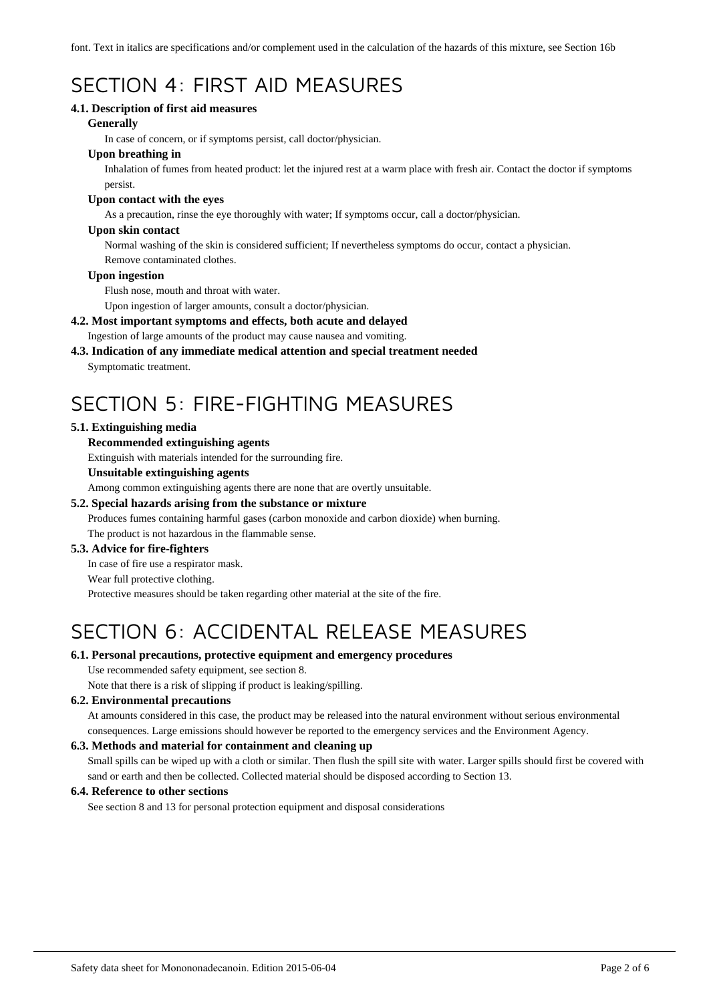font. Text in italics are specifications and/or complement used in the calculation of the hazards of this mixture, see Section 16b

## SECTION 4: FIRST AID MEASURES

## **4.1. Description of first aid measures**

### **Generally**

In case of concern, or if symptoms persist, call doctor/physician.

## **Upon breathing in**

Inhalation of fumes from heated product: let the injured rest at a warm place with fresh air. Contact the doctor if symptoms persist.

### **Upon contact with the eyes**

As a precaution, rinse the eye thoroughly with water; If symptoms occur, call a doctor/physician.

### **Upon skin contact**

Normal washing of the skin is considered sufficient; If nevertheless symptoms do occur, contact a physician. Remove contaminated clothes.

### **Upon ingestion**

Flush nose, mouth and throat with water.

Upon ingestion of larger amounts, consult a doctor/physician.

## **4.2. Most important symptoms and effects, both acute and delayed**

Ingestion of large amounts of the product may cause nausea and vomiting.

## **4.3. Indication of any immediate medical attention and special treatment needed**

Symptomatic treatment.

## SECTION 5: FIRE-FIGHTING MEASURES

## **5.1. Extinguishing media**

## **Recommended extinguishing agents**

Extinguish with materials intended for the surrounding fire.

### **Unsuitable extinguishing agents**

Among common extinguishing agents there are none that are overtly unsuitable.

## **5.2. Special hazards arising from the substance or mixture**

Produces fumes containing harmful gases (carbon monoxide and carbon dioxide) when burning. The product is not hazardous in the flammable sense.

## **5.3. Advice for fire-fighters**

In case of fire use a respirator mask.

#### Wear full protective clothing.

Protective measures should be taken regarding other material at the site of the fire.

## SECTION 6: ACCIDENTAL RELEASE MEASURES

## **6.1. Personal precautions, protective equipment and emergency procedures**

Use recommended safety equipment, see section 8.

Note that there is a risk of slipping if product is leaking/spilling.

## **6.2. Environmental precautions**

At amounts considered in this case, the product may be released into the natural environment without serious environmental consequences. Large emissions should however be reported to the emergency services and the Environment Agency.

## **6.3. Methods and material for containment and cleaning up**

Small spills can be wiped up with a cloth or similar. Then flush the spill site with water. Larger spills should first be covered with sand or earth and then be collected. Collected material should be disposed according to Section 13.

## **6.4. Reference to other sections**

See section 8 and 13 for personal protection equipment and disposal considerations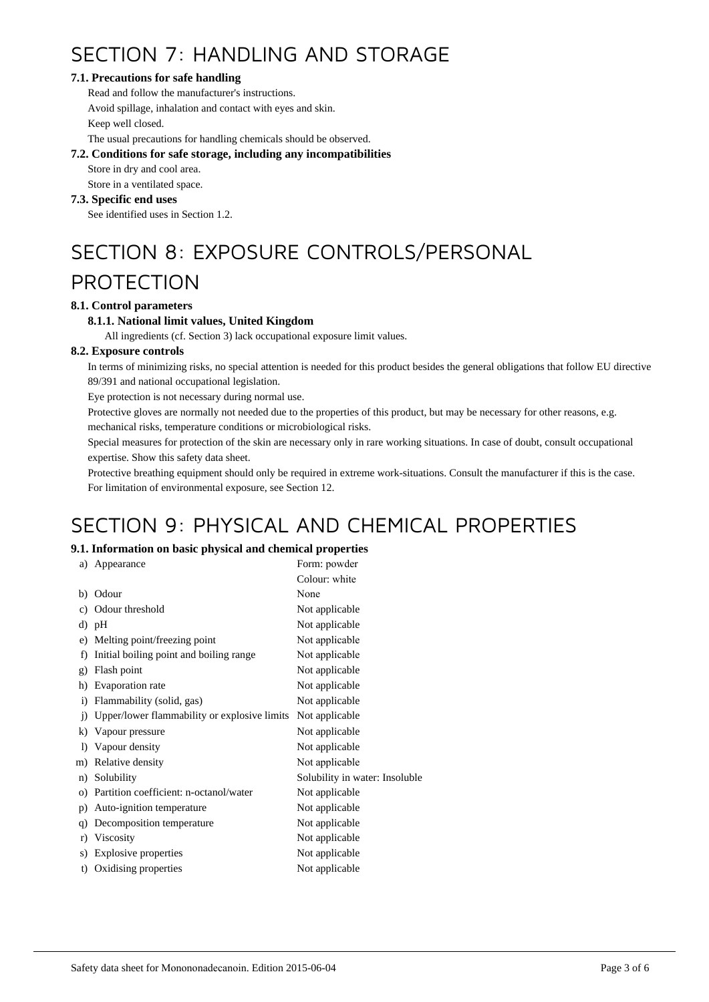## SECTION 7: HANDLING AND STORAGE

## **7.1. Precautions for safe handling**

Read and follow the manufacturer's instructions. Avoid spillage, inhalation and contact with eyes and skin. Keep well closed.

The usual precautions for handling chemicals should be observed.

## **7.2. Conditions for safe storage, including any incompatibilities**

Store in dry and cool area.

Store in a ventilated space.

## **7.3. Specific end uses**

See identified uses in Section 1.2.

# SECTION 8: EXPOSURE CONTROLS/PERSONAL

## PROTECTION

## **8.1. Control parameters**

## **8.1.1. National limit values, United Kingdom**

All ingredients (cf. Section 3) lack occupational exposure limit values.

## **8.2. Exposure controls**

In terms of minimizing risks, no special attention is needed for this product besides the general obligations that follow EU directive 89/391 and national occupational legislation.

Eye protection is not necessary during normal use.

Protective gloves are normally not needed due to the properties of this product, but may be necessary for other reasons, e.g.

mechanical risks, temperature conditions or microbiological risks.

Special measures for protection of the skin are necessary only in rare working situations. In case of doubt, consult occupational expertise. Show this safety data sheet.

Protective breathing equipment should only be required in extreme work-situations. Consult the manufacturer if this is the case. For limitation of environmental exposure, see Section 12.

## SECTION 9: PHYSICAL AND CHEMICAL PROPERTIES

## **9.1. Information on basic physical and chemical properties**

| a)             | Appearance                                   | Form: powder                   |
|----------------|----------------------------------------------|--------------------------------|
|                |                                              | Colour: white                  |
|                | b) Odour                                     | None                           |
| c)             | Odour threshold                              | Not applicable                 |
|                | d) pH                                        | Not applicable                 |
|                | e) Melting point/freezing point              | Not applicable                 |
| f)             | Initial boiling point and boiling range      | Not applicable                 |
| g)             | Flash point                                  | Not applicable                 |
| h)             | Evaporation rate                             | Not applicable                 |
| $\mathbf{i}$   | Flammability (solid, gas)                    | Not applicable                 |
| $\overline{1}$ | Upper/lower flammability or explosive limits | Not applicable                 |
| k)             | Vapour pressure                              | Not applicable                 |
| $\bf{I}$       | Vapour density                               | Not applicable                 |
| m)             | Relative density                             | Not applicable                 |
| n)             | Solubility                                   | Solubility in water: Insoluble |
| $\circ$ )      | Partition coefficient: n-octanol/water       | Not applicable                 |
| p)             | Auto-ignition temperature                    | Not applicable                 |
| q)             | Decomposition temperature                    | Not applicable                 |
| r)             | Viscosity                                    | Not applicable                 |
| s)             | Explosive properties                         | Not applicable                 |
| t)             | Oxidising properties                         | Not applicable                 |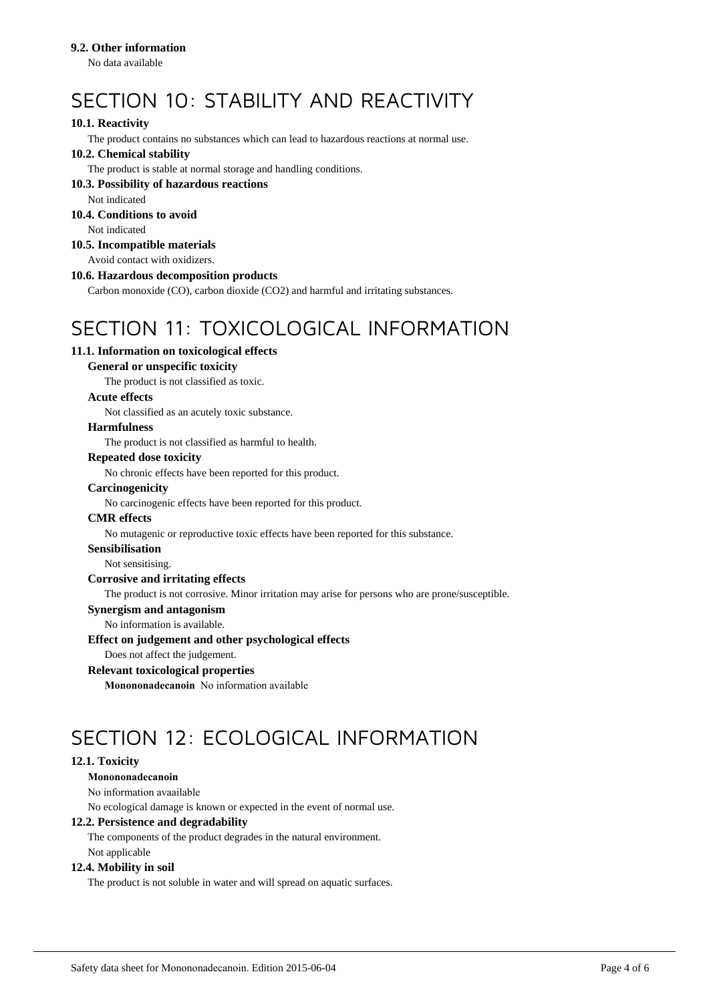## **9.2. Other information**

No data available

## SECTION 10: STABILITY AND REACTIVITY

## **10.1. Reactivity**

The product contains no substances which can lead to hazardous reactions at normal use.

## **10.2. Chemical stability**

The product is stable at normal storage and handling conditions.

### **10.3. Possibility of hazardous reactions**

Not indicated

## **10.4. Conditions to avoid**

Not indicated

## **10.5. Incompatible materials**

Avoid contact with oxidizers.

### **10.6. Hazardous decomposition products**

Carbon monoxide (CO), carbon dioxide (CO2) and harmful and irritating substances.

## SECTION 11: TOXICOLOGICAL INFORMATION

## **11.1. Information on toxicological effects**

### **General or unspecific toxicity**

The product is not classified as toxic.

### **Acute effects**

Not classified as an acutely toxic substance.

### **Harmfulness**

The product is not classified as harmful to health.

## **Repeated dose toxicity**

No chronic effects have been reported for this product.

#### **Carcinogenicity**

No carcinogenic effects have been reported for this product.

#### **CMR effects**

No mutagenic or reproductive toxic effects have been reported for this substance.

#### **Sensibilisation**

Not sensitising.

## **Corrosive and irritating effects**

The product is not corrosive. Minor irritation may arise for persons who are prone/susceptible.

#### **Synergism and antagonism**

No information is available.

#### **Effect on judgement and other psychological effects**

Does not affect the judgement.

#### **Relevant toxicological properties**

**Monononadecanoin** No information available

## SECTION 12: ECOLOGICAL INFORMATION

## **12.1. Toxicity**

## **Monononadecanoin**

No information avaailable

No ecological damage is known or expected in the event of normal use.

#### **12.2. Persistence and degradability**

The components of the product degrades in the natural environment. Not applicable

#### **12.4. Mobility in soil**

The product is not soluble in water and will spread on aquatic surfaces.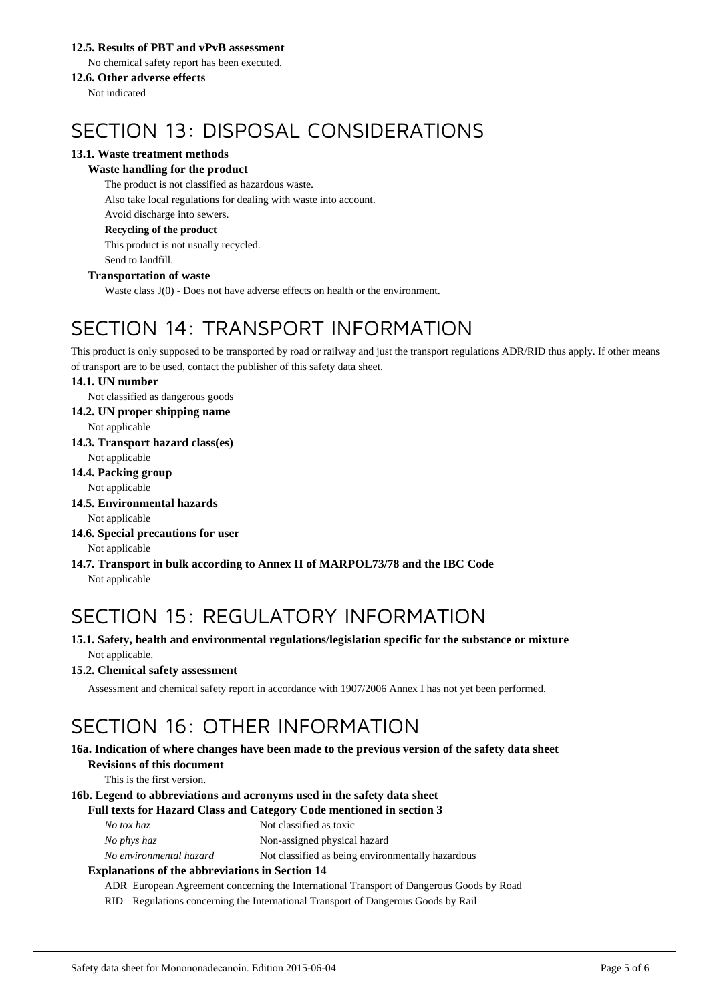## **12.5. Results of PBT and vPvB assessment**

No chemical safety report has been executed.

## **12.6. Other adverse effects**

Not indicated

## SECTION 13: DISPOSAL CONSIDERATIONS

## **13.1. Waste treatment methods**

## **Waste handling for the product**

The product is not classified as hazardous waste. Also take local regulations for dealing with waste into account. Avoid discharge into sewers. **Recycling of the product**

This product is not usually recycled. Send to landfill.

## **Transportation of waste**

Waste class J(0) - Does not have adverse effects on health or the environment.

## SECTION 14: TRANSPORT INFORMATION

This product is only supposed to be transported by road or railway and just the transport regulations ADR/RID thus apply. If other means of transport are to be used, contact the publisher of this safety data sheet.

## **14.1. UN number**

Not classified as dangerous goods

**14.2. UN proper shipping name**

Not applicable

**14.3. Transport hazard class(es)**

Not applicable

**14.4. Packing group**

Not applicable

**14.5. Environmental hazards**

```
Not applicable
```
- **14.6. Special precautions for user** Not applicable
- **14.7. Transport in bulk according to Annex II of MARPOL73/78 and the IBC Code** Not applicable

## SECTION 15: REGULATORY INFORMATION

**15.1. Safety, health and environmental regulations/legislation specific for the substance or mixture** Not applicable.

## **15.2. Chemical safety assessment**

Assessment and chemical safety report in accordance with 1907/2006 Annex I has not yet been performed.

## SECTION 16: OTHER INFORMATION

### **16a. Indication of where changes have been made to the previous version of the safety data sheet Revisions of this document**

This is the first version.

## **16b. Legend to abbreviations and acronyms used in the safety data sheet**

## **Full texts for Hazard Class and Category Code mentioned in section 3**

*No phys haz* Non-assigned physical hazard

*No environmental hazard* Not classified as being environmentally hazardous

## **Explanations of the abbreviations in Section 14**

ADR European Agreement concerning the International Transport of Dangerous Goods by Road

RID Regulations concerning the International Transport of Dangerous Goods by Rail